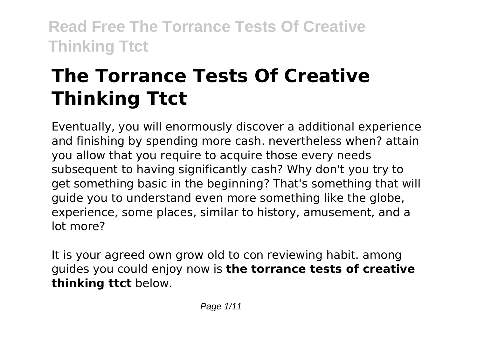# **The Torrance Tests Of Creative Thinking Ttct**

Eventually, you will enormously discover a additional experience and finishing by spending more cash. nevertheless when? attain you allow that you require to acquire those every needs subsequent to having significantly cash? Why don't you try to get something basic in the beginning? That's something that will guide you to understand even more something like the globe, experience, some places, similar to history, amusement, and a lot more?

It is your agreed own grow old to con reviewing habit. among guides you could enjoy now is **the torrance tests of creative thinking ttct** below.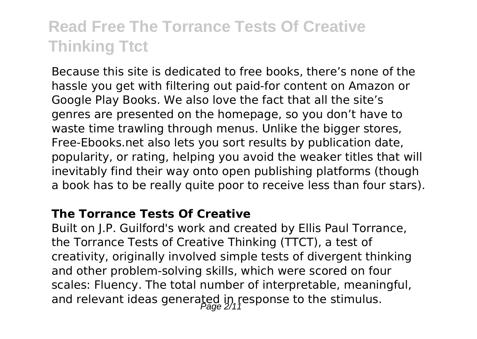Because this site is dedicated to free books, there's none of the hassle you get with filtering out paid-for content on Amazon or Google Play Books. We also love the fact that all the site's genres are presented on the homepage, so you don't have to waste time trawling through menus. Unlike the bigger stores, Free-Ebooks.net also lets you sort results by publication date, popularity, or rating, helping you avoid the weaker titles that will inevitably find their way onto open publishing platforms (though a book has to be really quite poor to receive less than four stars).

#### **The Torrance Tests Of Creative**

Built on J.P. Guilford's work and created by Ellis Paul Torrance, the Torrance Tests of Creative Thinking (TTCT), a test of creativity, originally involved simple tests of divergent thinking and other problem-solving skills, which were scored on four scales: Fluency. The total number of interpretable, meaningful, and relevant ideas generated in response to the stimulus.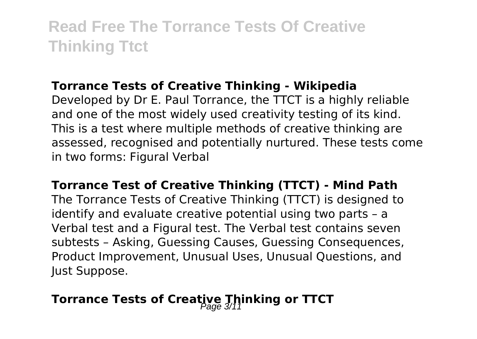#### **Torrance Tests of Creative Thinking - Wikipedia**

Developed by Dr E. Paul Torrance, the TTCT is a highly reliable and one of the most widely used creativity testing of its kind. This is a test where multiple methods of creative thinking are assessed, recognised and potentially nurtured. These tests come in two forms: Figural Verbal

**Torrance Test of Creative Thinking (TTCT) - Mind Path** The Torrance Tests of Creative Thinking (TTCT) is designed to identify and evaluate creative potential using two parts – a Verbal test and a Figural test. The Verbal test contains seven subtests – Asking, Guessing Causes, Guessing Consequences, Product Improvement, Unusual Uses, Unusual Questions, and Just Suppose.

### **Torrance Tests of Creative Thinking or TTCT**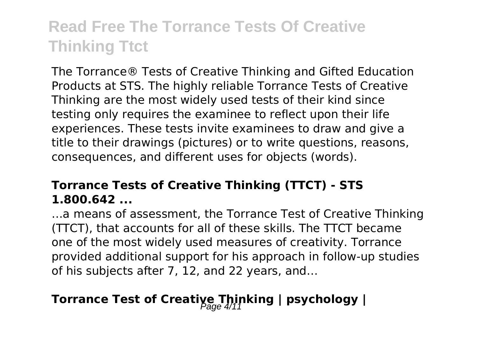The Torrance® Tests of Creative Thinking and Gifted Education Products at STS. The highly reliable Torrance Tests of Creative Thinking are the most widely used tests of their kind since testing only requires the examinee to reflect upon their life experiences. These tests invite examinees to draw and give a title to their drawings (pictures) or to write questions, reasons, consequences, and different uses for objects (words).

#### **Torrance Tests of Creative Thinking (TTCT) - STS 1.800.642 ...**

…a means of assessment, the Torrance Test of Creative Thinking (TTCT), that accounts for all of these skills. The TTCT became one of the most widely used measures of creativity. Torrance provided additional support for his approach in follow-up studies of his subjects after 7, 12, and 22 years, and…

### **Torrance Test of Creative Thinking | psychology |**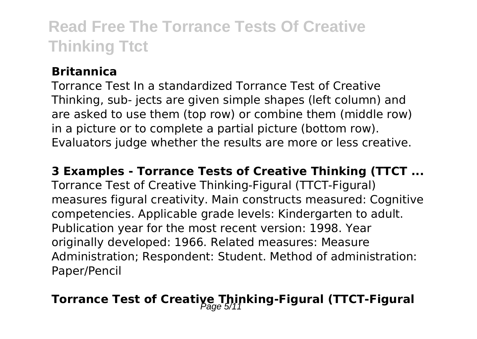#### **Britannica**

Torrance Test In a standardized Torrance Test of Creative Thinking, sub- jects are given simple shapes (left column) and are asked to use them (top row) or combine them (middle row) in a picture or to complete a partial picture (bottom row). Evaluators judge whether the results are more or less creative.

#### **3 Examples - Torrance Tests of Creative Thinking (TTCT ...**

Torrance Test of Creative Thinking-Figural (TTCT-Figural) measures figural creativity. Main constructs measured: Cognitive competencies. Applicable grade levels: Kindergarten to adult. Publication year for the most recent version: 1998. Year originally developed: 1966. Related measures: Measure Administration; Respondent: Student. Method of administration: Paper/Pencil

## **Torrance Test of Creative Thinking-Figural (TTCT-Figural**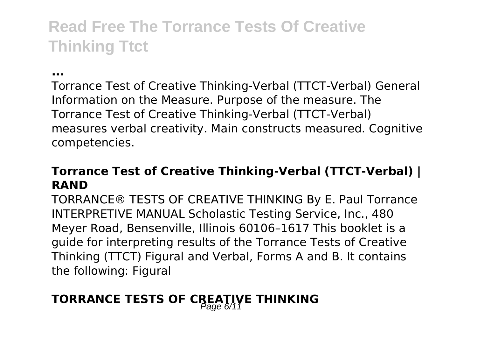**...**

Torrance Test of Creative Thinking-Verbal (TTCT-Verbal) General Information on the Measure. Purpose of the measure. The Torrance Test of Creative Thinking-Verbal (TTCT-Verbal) measures verbal creativity. Main constructs measured. Cognitive competencies.

#### **Torrance Test of Creative Thinking-Verbal (TTCT-Verbal) | RAND**

TORRANCE® TESTS OF CREATIVE THINKING By E. Paul Torrance INTERPRETIVE MANUAL Scholastic Testing Service, Inc., 480 Meyer Road, Bensenville, Illinois 60106–1617 This booklet is a guide for interpreting results of the Torrance Tests of Creative Thinking (TTCT) Figural and Verbal, Forms A and B. It contains the following: Figural

### **TORRANCE TESTS OF CREATIVE THINKING**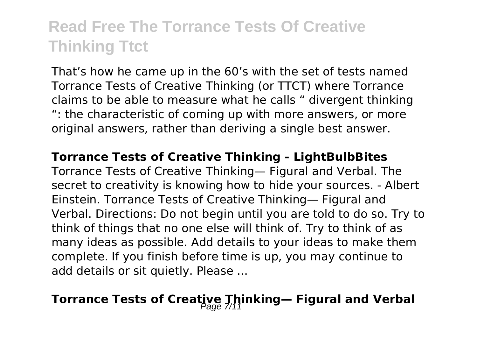That's how he came up in the 60's with the set of tests named Torrance Tests of Creative Thinking (or TTCT) where Torrance claims to be able to measure what he calls " divergent thinking ": the characteristic of coming up with more answers, or more original answers, rather than deriving a single best answer.

#### **Torrance Tests of Creative Thinking - LightBulbBites**

Torrance Tests of Creative Thinking— Figural and Verbal. The secret to creativity is knowing how to hide your sources. - Albert Einstein. Torrance Tests of Creative Thinking— Figural and Verbal. Directions: Do not begin until you are told to do so. Try to think of things that no one else will think of. Try to think of as many ideas as possible. Add details to your ideas to make them complete. If you finish before time is up, you may continue to add details or sit quietly. Please ...

### **Torrance Tests of Creative Thinking— Figural and Verbal**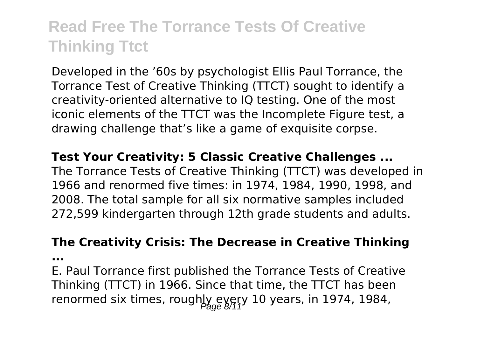Developed in the '60s by psychologist Ellis Paul Torrance, the Torrance Test of Creative Thinking (TTCT) sought to identify a creativity-oriented alternative to IQ testing. One of the most iconic elements of the TTCT was the Incomplete Figure test, a drawing challenge that's like a game of exquisite corpse.

**Test Your Creativity: 5 Classic Creative Challenges ...** The Torrance Tests of Creative Thinking (TTCT) was developed in 1966 and renormed five times: in 1974, 1984, 1990, 1998, and 2008. The total sample for all six normative samples included 272,599 kindergarten through 12th grade students and adults.

#### **The Creativity Crisis: The Decrease in Creative Thinking**

**...**

E. Paul Torrance first published the Torrance Tests of Creative Thinking (TTCT) in 1966. Since that time, the TTCT has been renormed six times, roughly every 10 years, in 1974, 1984,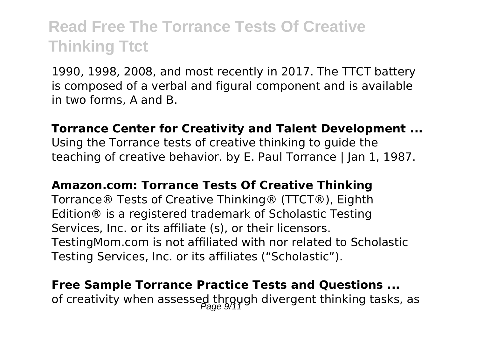1990, 1998, 2008, and most recently in 2017. The TTCT battery is composed of a verbal and figural component and is available in two forms, A and B.

#### **Torrance Center for Creativity and Talent Development ...**

Using the Torrance tests of creative thinking to guide the teaching of creative behavior. by E. Paul Torrance | Jan 1, 1987.

#### **Amazon.com: Torrance Tests Of Creative Thinking**

Torrance® Tests of Creative Thinking® (TTCT®), Eighth Edition® is a registered trademark of Scholastic Testing Services, Inc. or its affiliate (s), or their licensors. TestingMom.com is not affiliated with nor related to Scholastic Testing Services, Inc. or its affiliates ("Scholastic").

### **Free Sample Torrance Practice Tests and Questions ...** of creativity when assessed through divergent thinking tasks, as